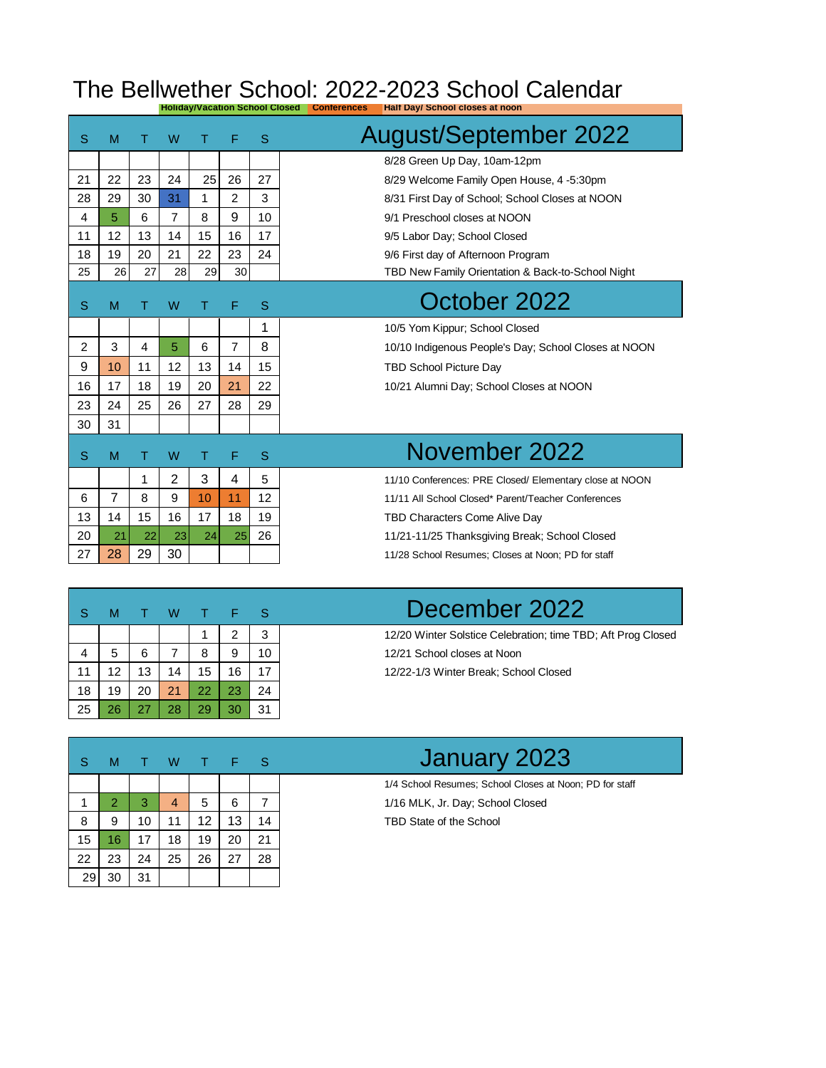## The Bellwether School: 2022-2023 School Calendar **Holiday/Vacation School Closed Conferences Half Day/ School closes at noon**

| S              | M              |    | W              | т  | F              | S  | <b>August/September 2022</b>                            |
|----------------|----------------|----|----------------|----|----------------|----|---------------------------------------------------------|
|                |                |    |                |    |                |    | 8/28 Green Up Day, 10am-12pm                            |
| 21             | 22             | 23 | 24             | 25 | 26             | 27 | 8/29 Welcome Family Open House, 4 -5:30pm               |
| 28             | 29             | 30 | 31             | 1  | $\overline{2}$ | 3  | 8/31 First Day of School; School Closes at NOON         |
| 4              | 5.             | 6  | 7              | 8  | 9              | 10 | 9/1 Preschool closes at NOON                            |
| 11             | 12             | 13 | 14             | 15 | 16             | 17 | 9/5 Labor Day; School Closed                            |
| 18             | 19             | 20 | 21             | 22 | 23             | 24 | 9/6 First day of Afternoon Program                      |
| 25             | 26             | 27 | 28             | 29 | 30             |    | TBD New Family Orientation & Back-to-School Night       |
| S              | M              |    | W              |    | F              | S  | October 2022                                            |
|                |                |    |                |    |                | 1  | 10/5 Yom Kippur; School Closed                          |
| $\overline{2}$ | 3              | 4  | 5              | 6  | $\overline{7}$ | 8  | 10/10 Indigenous People's Day: School Closes at NOON    |
| 9              | 10             | 11 | 12             | 13 | 14             | 15 | <b>TBD School Picture Day</b>                           |
| 16             | 17             | 18 | 19             | 20 | 21             | 22 | 10/21 Alumni Day; School Closes at NOON                 |
| 23             | 24             | 25 | 26             | 27 | 28             | 29 |                                                         |
| 30             | 31             |    |                |    |                |    |                                                         |
| S              | M              |    | W              | т  | F              | S  | November 2022                                           |
|                |                | 1  | $\overline{2}$ | 3  | 4              | 5  | 11/10 Conferences: PRE Closed/ Elementary close at NOON |
| 6              | $\overline{7}$ | 8  | 9              | 10 | 11             | 12 | 11/11 All School Closed* Parent/Teacher Conferences     |
| 13             | 14             | 15 | 16             | 17 | 18             | 19 | TBD Characters Come Alive Day                           |
| 20             | 21             | 22 | 23             | 24 | 25             | 26 | 11/21-11/25 Thanksgiving Break; School Closed           |
| 27             | 28             | 29 | 30             |    |                |    | 11/28 School Resumes; Closes at Noon; PD for staff      |
|                |                |    |                |    |                |    |                                                         |

| S  | М  |    | w  |    | E  | S  |  |
|----|----|----|----|----|----|----|--|
|    |    |    |    |    | 2  | 3  |  |
|    | 5  | 6  | 7  | 8  | 9  | 10 |  |
| 11 | 12 | 13 | 14 | 15 | 16 | 17 |  |
| 18 | 19 | 20 | 21 | 22 | 23 | 24 |  |
| 25 | 26 | 27 | 28 | 29 | 30 | 31 |  |

December 2022

12/20 Winter Solstice Celebration; time TBD; Aft Prog Closed 12/21 School closes at Noon 12/22-1/3 Winter Break; School Closed

| S  | М              | т. | W  | т  | F  | <sub>S</sub> |  |
|----|----------------|----|----|----|----|--------------|--|
|    |                |    |    |    |    |              |  |
| 1  | $\overline{2}$ | 3  | 4  | 5  | 6  | 7            |  |
| 8  | 9              | 10 | 11 | 12 | 13 | 14           |  |
| 15 | 16             | 17 | 18 | 19 | 20 | 21           |  |
| 22 | 23             | 24 | 25 | 26 | 27 | 28           |  |
| 29 | 30             | 31 |    |    |    |              |  |

## January 2023

1/4 School Resumes; School Closes at Noon; PD for staff 1/16 MLK, Jr. Day; School Closed TBD State of the School